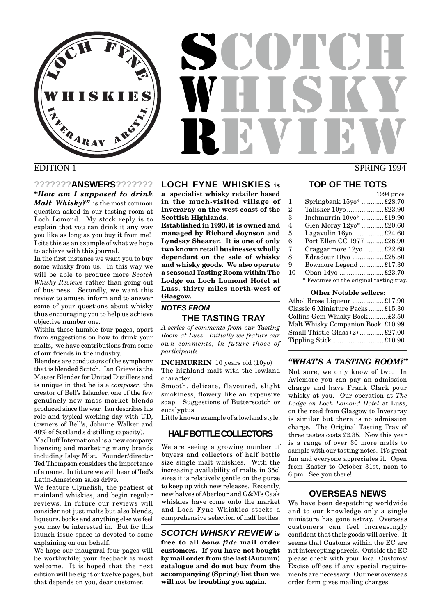LOCH FFYN R<sub>ARAY</sub> **ISKI** 

# EDITION 1 SPRING 1994 SCOTCH WHUH REVIEW

#### **???????ANSWERS???????**

*"How am I supposed to drink Malt Whisky?"* is the most common question asked in our tasting room at Loch Lomond. My stock reply is to explain that you can drink it any way you like as long as you buy it from me! I cite this as an example of what we hope to achieve with this journal.

In the first instance we want you to buy some whisky from us. In this way we will be able to produce more *Scotch Whisky Reviews* rather than going out of business. Secondly, we want this review to amuse, inform and to answer some of your questions about whisky thus encouraging you to help us achieve objective number one.

Within these humble four pages, apart from suggestions on how to drink your malts, we have contributions from some of our friends in the industry.

Blenders are conductors of the symphony that is blended Scotch. Ian Grieve is the Master Blender for United Distillers and is unique in that he is a *composer*, the creator of Bell's Islander, one of the few genuinely-new mass-market blends produced since the war. Ian describes his role and typical working day with UD, (owners of Bell's, Johnnie Walker and 40% of Scotland's distilling capacity).

MacDuff International is a new company licensing and marketing many brands including Islay Mist. Founder/director Ted Thompson considers the importance of a name. In future we will hear of Ted's Latin-American sales drive.

We feature Clynelish, the peatiest of mainland whiskies, and begin regular reviews. In future our reviews will consider not just malts but also blends, liqueurs, books and anything else we feel you may be interested in. But for this launch issue space is devoted to some explaining on our behalf.

We hope our inaugural four pages will be worthwhile; your feedback is most welcome. It is hoped that the next edition will be eight or twelve pages, but that depends on you, dear customer.

### **LOCH FYNE WHISKIES is**

**a specialist whisky retailer based in the much-visited village of Inveraray on the west coast of the Scottish Highlands.**

**Established in 1993, it is owned and managed by Richard Joynson and Lyndsay Shearer. It is one of only two known retail businesses wholly dependant on the sale of whisky and whisky goods. We also operate a seasonal Tasting Room within The Lodge on Loch Lomond Hotel at Luss, thirty miles north-west of Glasgow.**

#### **NOTES FROM THE TASTING TRAY**

*A series of comments from our Tasting Room at Luss. Initially we feature our own comments, in future those of participants.*

**INCHMURRIN** 10 years old (10yo) The highland malt with the lowland character.

Smooth, delicate, flavoured, slight smokiness, flowery like an expensive soap. Suggestions of Butterscotch or eucalyptus.

Little known example of a lowland style.

#### **HALF BOTTLE COLLECTORS**

We are seeing a growing number of buyers and collectors of half bottle size single malt whiskies. With the increasing availability of malts in 35cl sizes it is relatively gentle on the purse to keep up with new releases. Recently, new halves of Aberlour and G&M's Cask whiskies have come onto the market and Loch Fyne Whiskies stocks a comprehensive selection of half bottles.

#### **SCOTCH WHISKY REVIEW is**

**free to all** *bona fide* **mail order customers. If you have not bought by mail order from the last (Autumn) catalogue and do not buy from the accompanying (Spring) list then we will not be troubling you again.**

## **TOP OF THE TOTS**

#### 1994 price 1 Springbank 15yo\* ............£28.70 2 Talisker 10yo ....................£23.90 3 Inchmurrin 10yo\* ............£19.90 4 Glen Moray 12yo\* ............£20.60 5 Lagavulin 16yo ................£24.60 6 Port Ellen CC 1977 ..........£26.90 7 Cragganmore 12yo ...........£22.60 8 Edradour 10yo .................£25.50 9 Bowmore Legend .............£17.30 10 Oban 14yo ........................£23.70 \* Features on the original tasting tray. **Other Notable sellers:**

Athol Brose Liqueur .................£17.90 Classic 6 Miniature Packs ........£15.30 Collins Gem Whisky Book .......... £3.50 Malt Whisky Companion Book £10.99 Small Thistle Glass (2) .............£27.00 Tippling Stick............................£10.90

#### *"WHAT'S A TASTING ROOM?"*

Not sure, we only know of two. In Aviemore you can pay an admission charge and have Frank Clark pour whisky at you. Our operation at *The Lodge on Loch Lomond Hotel* at Luss, on the road from Glasgow to Inveraray is similar but there is no admission charge. The Original Tasting Tray of three tastes costs £2.35. New this year is a range of over 30 more malts to sample with our tasting notes. It's great fun and everyone appreciates it. Open from Easter to October 31st, noon to 6 pm. See you there!

#### **OVERSEAS NEWS**

We have been despatching worldwide and to our knowledge only a single miniature has gone astray. Overseas customers can feel increasingly confident that their goods will arrive. It seems that Customs within the EC are not intercepting parcels. Outside the EC please check with your local Customs/ Excise offices if any special requirements are necessary. Our new overseas order form gives mailing charges.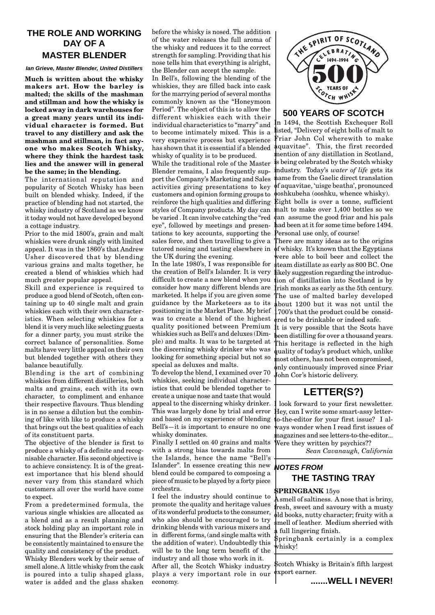# **THE ROLE AND WORKING DAY OF A MASTER BLENDER**

#### **Ian Grieve, Master Blender, United Distillers**

**Much is written about the whisky makers art. How the barley is malted; the skills of the mashman and stillman and how the whisky is locked away in dark warehouses for a great many years until its individual character is formed. But travel to any distillery and ask the mashman and stillman, in fact anyone who makes Scotch Whisky, where they think the hardest task lies and the answer will in general be the same; in the blending.**

The international reputation and popularity of Scotch Whisky has been built on blended whisky. Indeed, if the practice of blending had not started, the whisky industry of Scotland as we know it today would not have developed beyond a cottage industry.

Prior to the mid 1800's, grain and malt whiskies were drunk singly with limited appeal. It was in the 1860's that Andrew Usher discovered that by blending various grains and malts together, he created a blend of whiskies which had much greater popular appeal.

Skill and experience is required to produce a good blend of Scotch, often containing up to 40 single malt and grain whiskies each with their own characteristics. When selecting whiskies for a blend it is very much like selecting guests for a dinner party, you must strike the correct balance of personalities. Some malts have very little appeal on their own but blended together with others they balance beautifully.

Blending is the art of combining whiskies from different distilleries, both malts and grains, each with its own character, to compliment and enhance their respective flavours. Thus blending is in no sense a dilution but the combining of like with like to produce a whisky that brings out the best qualities of each of its constituent parts.

The objective of the blender is first to produce a whisky of a definite and recognisable character. His second objective is to achieve consistency. It is of the greatest importance that his blend should never vary from this standard which customers all over the world have come to expect.

From a predetermined formula, the various single whiskies are allocated as a blend and as a result planning and stock holding play an important role in ensuring that the Blender's criteria can be consistently maintained to ensure the quality and consistency of the product. Whisky Blenders work by their sense of smell alone. A little whisky from the cask is poured into a tulip shaped glass, water is added and the glass shaken

before the whisky is nosed. The addition of the water releases the full aroma of the whisky and reduces it to the correct strength for sampling. Providing that his nose tells him that everything is alright, the Blender can accept the sample.

In Bell's, following the blending of the whiskies, they are filled back into cask for the marrying period of several months commonly known as the "Honeymoon Period". The object of this is to allow the different whiskies each with their individual characteristics to "marry" and to become intimately mixed. This is a very expensive process but experience has shown that it is essential if a blended whisky of quality is to be produced.

reinforce the high qualities and differing Eight bolls is over a tonne, sufficient While the traditional role of the Master Blender remains, I also frequently support the Company's Marketing and Sales activities giving presentations to key customers and opinion forming groups to styles of Company products. My day can be varied . It can involve catching the "red eye", followed by meetings and presentations to key accounts, supporting the sales force, and then travelling to give a tutored nosing and tasting elsewhere in the UK during the evening.

In the late 1980's, I was responsible for the creation of Bell's Islander. It is very difficult to create a new blend when you consider how many different blends are marketed. It helps if you are given some guidance by the Marketeers as to its positioning in the Market Place. My brief was to create a blend of the highest quality positioned between Premium whiskies such as Bell's and deluxes (Dimple) and malts. It was to be targeted at the discerning whisky drinker who was looking for something special but not so special as deluxes and malts.

To develop the blend, I examined over 70 whiskies, seeking individual characteristics that could be blended together to create a unique nose and taste that would appeal to the discerning whisky drinker. This was largely done by trial and error and based on my experience of blending Bell's—it is important to ensure no one whisky dominates.

Finally I settled on 40 grains and malts with a strong bias towards malts from the Islands, hence the name "Bell's Islander". In essence creating this new blend could be compared to composing a piece of music to be played by a forty piece orchestra.

I feel the industry should continue to promote the quality and heritage values of its wonderful products to the consumer, who also should be encouraged to try drinking blends with various mixers and in different forms, (and single malts with the addition of water). Undoubtedly this will be to the long term benefit of the industry and all those who work in it.

After all, the Scotch Whisky industry plays a very important role in our economy.



#### **500 YEARS OF SCOTCH**

In 1494, the Scottish Exchequer Roll listed, "Delivery of eight bolls of malt to Friar John Col wherewith to make aquavitae". This, the first recorded mention of any distillation in Scotland, is being celebrated by the Scotch whisky industry. Today's *water of life* gets its name from the Gaelic direct translation of aquavitae, 'uisge beatha', pronounced ooshkubeha (ooshku, whence whisky).

malt to make over 1,400 bottles so we can assume the good friar and his pals had been at it for some time before 1494. Personal use only, of course!

There are many ideas as to the origins of whisky. It's known that the Egyptians were able to boil beer and collect the steam distillate as early as 800 BC. One likely suggestion regarding the introduction of distillation into Scotland is by Irish monks as early as the 5th century. The use of malted barley developed bout 1200 but it was not until the 1700's that the product could be considered to be drinkable or indeed safe.

It is very possible that the Scots have been distilling for over a thousand years. This heritage is reflected in the high quality of today's product which, unlike most others, has not been compromised, only continuously improved since Friar John Cor's historic delivery.

# **LETTER(S?)**

look forward to your first newsletter. Hey, can I write some smart-assy letterto-the-editor for your first issue? I always wonder when I read first issues of magazines and see letters-to-the-editor... Were they written by psychics??

*Sean Cavanaugh, California*

# **NOTES FROM THE TASTING TRAY**

#### **SPRINGBANK** 15yo

A smell of saltiness. A nose that is briny, fresh, sweet and savoury with a musty ld books, nutty character; fruity with a mell of leather. Medium sherried with full lingering finish.

Springbank certainly is a complex whisky!

Scotch Whisky is Britain's fifth largest export earner.

**.......WELL I NEVER!**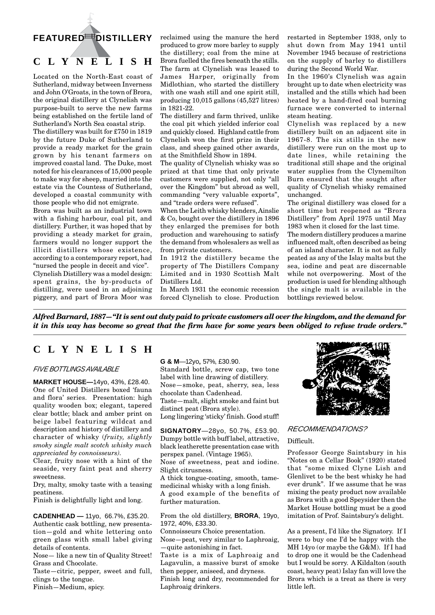# **FEATURED DISTILLERY**

# **CLYNELISH**

Located on the North-East coast of Sutherland, midway between Inverness and John O'Groats, in the town of Brora, the original distillery at Clynelish was purpose-built to serve the new farms being established on the fertile land of Sutherland's North Sea coastal strip.

The distillery was built for £750 in 1819 by the future Duke of Sutherland to provide a ready market for the grain grown by his tenant farmers on improved coastal land. The Duke, most noted for his clearances of 15,000 people to make way for sheep, married into the estate via the Countess of Sutherland, developed a coastal community with those people who did not emigrate.

Brora was built as an industrial town with a fishing harbour, coal pit, and distillery. Further, it was hoped that by providing a steady market for grain, farmers would no longer support the illicit distillers whose existence, according to a contemporary report, had "nursed the people in deceit and vice". Clynelish Distillery was a model design: spent grains, the by-products of distilling, were used in an adjoining piggery, and part of Brora Moor was

reclaimed using the manure the herd produced to grow more barley to supply the distillery; coal from the mine at Brora fuelled the fires beneath the stills. The farm at Clynelish was leased to James Harper, originally from Midlothian, who started the distillery with one wash still and one spirit still, producing 10,015 gallons (45,527 litres) in 1821-22.

The distillery and farm thrived, unlike the coal pit which yielded inferior coal and quickly closed. Highland cattle from Clynelish won the first prize in their class, and sheep gained other awards, at the Smithfield Show in 1894.

The quality of Clynelish whisky was so prized at that time that only private customers were supplied, not only "all over the Kingdom" but abroad as well, commanding "very valuable exports", and "trade orders were refused".

When the Leith whisky blenders, Ainslie & Co, bought over the distillery in 1896 they enlarged the premises for both production and warehousing to satisfy the demand from wholesalers as well as from private customers.

In 1912 the distillery became the property of The Distillers Company Limited and in 1930 Scottish Malt Distillers Ltd.

In March 1931 the economic recession forced Clynelish to close. Production restarted in September 1938, only to shut down from May 1941 until November 1945 because of restrictions on the supply of barley to distillers during the Second World War.

In the 1960's Clynelish was again brought up to date when electricity was installed and the stills which had been heated by a hand-fired coal burning furnace were converted to internal steam heating.

Clynelish was replaced by a new distillery built on an adjacent site in 1967-8. The six stills in the new distillery were run on the most up to date lines, while retaining the traditional still shape and the original water supplies from the Clynemilton Burn ensured that the sought after quality of Clynelish whisky remained unchanged.

The original distillery was closed for a short time but reopened as "Brora Distillery" from April 1975 until May 1983 when it closed for the last time.

The modern distillery produces a marine influenced malt, often described as being of an island character. It is not as fully peated as any of the Islay malts but the sea, iodine and peat are discernable while not overpowering. Most of the production is used for blending although the single malt is available in the bottlings reviewed below.

*Alfred Barnard, 1887—"It is sent out duty paid to private customers all over the kingdom, and the demand for it in this way has become so great that the firm have for some years been obliged to refuse trade orders."*

# **CLYNELISH**

#### FIVE BOTTLINGS AVAILABLE

**MARKET HOUSE—**14yo, 43%, £28.40. One of United Distillers boxed 'fauna and flora' series. Presentation: high quality wooden box; elegant, tapered clear bottle; black and amber print on beige label featuring wildcat and description and history of distillery and character of whisky (*fruity, slightly smoky single malt scotch whisky much appreciated by connoisseurs).*

Clear, fruity nose with a hint of the seaside, very faint peat and sherry sweetness.

Dry, malty, smoky taste with a teasing peatiness.

Finish is delightfully light and long.

**CADENHEAD —** 11yo, 66.7%, £35.20. Authentic cask bottling, new presentation—gold and white lettering onto green glass with small label giving details of contents.

Nose— like a new tin of Quality Street! Grass and Chocolate.

Taste—citric, pepper, sweet and full, clings to the tongue.

Finish—Medium, spicy.

**G & M**—12yo, 57%, £30.90. Standard bottle, screw cap, two tone label with line drawing of distillery. Nose—smoke, peat, sherry, sea, less chocolate than Cadenhead. Taste—malt, slight smoke and faint but distinct peat (Brora style). Long lingering 'sticky' finish. Good stuff!

**SIGNATORY**—28yo, 50.7%, £53.90. Dumpy bottle with buff label, attractive, black leatherette presentation case with perspex panel. (Vintage 1965).

Nose of sweetness, peat and iodine. Slight citrusness.

A thick tongue-coating, smooth, tamemedicinal whisky with a long finish. A good example of the benefits of further maturation.

From the old distillery, **BRORA**, 19yo, 1972, 40%, £33.30.

Connoisseurs Choice presentation. Nose—peat, very similar to Laphroaig, —quite astonishing in fact.

Taste is a mix of Laphroaig and Lagavulin, a massive burst of smoke then pepper, aniseed, and dryness. Finish long and dry, recommended for Laphroaig drinkers.



#### RECOMMENDATIONS?

#### Difficult.

Professor George Saintsbury in his "Notes on a Cellar Book" (1920) stated that "some mixed Clyne Lish and Glenlivet to be the best whisky he had ever drunk". If we assume that he was mixing the peaty product now available as Brora with a good Speysider then the Market House bottling must be a good imitation of Prof. Saintsbury's delight.

As a present, I'd like the Signatory. If I were to buy one I'd be happy with the MH 14yo (or maybe the G&M). If I had to drop one it would be the Cadenhead but I would be sorry. A Kildalton (south coast, heavy peat) Islay fan will love the Brora which is a treat as there is very little left.